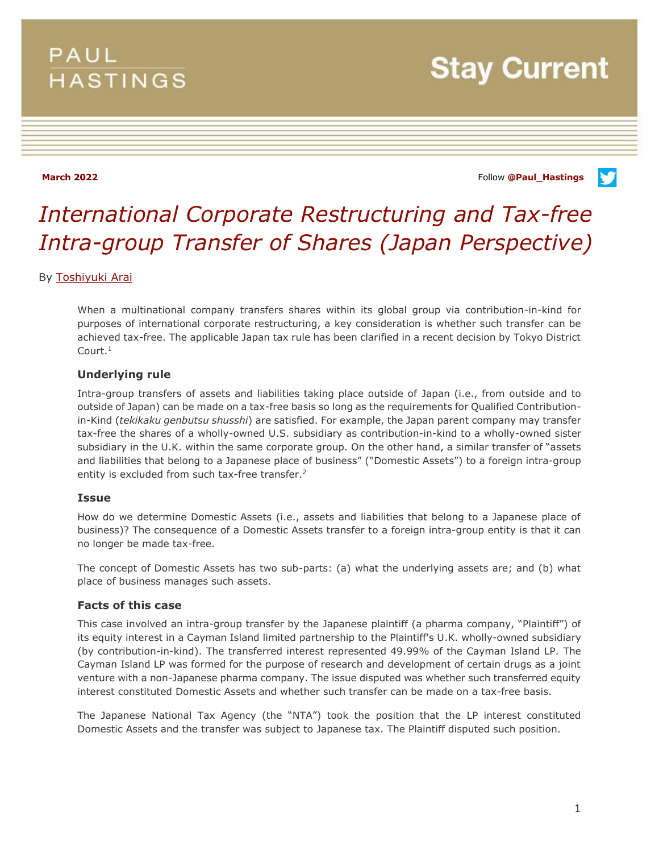## **PAUL HASTINGS**

# **Stay Current**

**March 2022** Follow **[@Paul\\_Hastings](http://twitter.com/Paul_Hastings)**

V

# *International Corporate Restructuring and Tax-free Intra-group Transfer of Shares (Japan Perspective)*

#### By [Toshiyuki Arai](https://www.paulhastings.com/professionals/toshiyukiarai)

When a multinational company transfers shares within its global group via contribution-in-kind for purposes of international corporate restructuring, a key consideration is whether such transfer can be achieved tax-free. The applicable Japan tax rule has been clarified in a recent decision by Tokyo District Court.<sup>1</sup>

#### **Underlying rule**

Intra-group transfers of assets and liabilities taking place outside of Japan (i.e., from outside and to outside of Japan) can be made on a tax-free basis so long as the requirements for Qualified Contributionin-Kind (*tekikaku genbutsu shusshi*) are satisfied. For example, the Japan parent company may transfer tax-free the shares of a wholly-owned U.S. subsidiary as contribution-in-kind to a wholly-owned sister subsidiary in the U.K. within the same corporate group. On the other hand, a similar transfer of "assets and liabilities that belong to a Japanese place of business" ("Domestic Assets") to a foreign intra-group entity is excluded from such tax-free transfer.<sup>2</sup>

#### **Issue**

How do we determine Domestic Assets (i.e., assets and liabilities that belong to a Japanese place of business)? The consequence of a Domestic Assets transfer to a foreign intra-group entity is that it can no longer be made tax-free.

The concept of Domestic Assets has two sub-parts: (a) what the underlying assets are; and (b) what place of business manages such assets.

#### **Facts of this case**

This case involved an intra-group transfer by the Japanese plaintiff (a pharma company, "Plaintiff") of its equity interest in a Cayman Island limited partnership to the Plaintiff's U.K. wholly-owned subsidiary (by contribution-in-kind). The transferred interest represented 49.99% of the Cayman Island LP. The Cayman Island LP was formed for the purpose of research and development of certain drugs as a joint venture with a non-Japanese pharma company. The issue disputed was whether such transferred equity interest constituted Domestic Assets and whether such transfer can be made on a tax-free basis.

The Japanese National Tax Agency (the "NTA") took the position that the LP interest constituted Domestic Assets and the transfer was subject to Japanese tax. The Plaintiff disputed such position.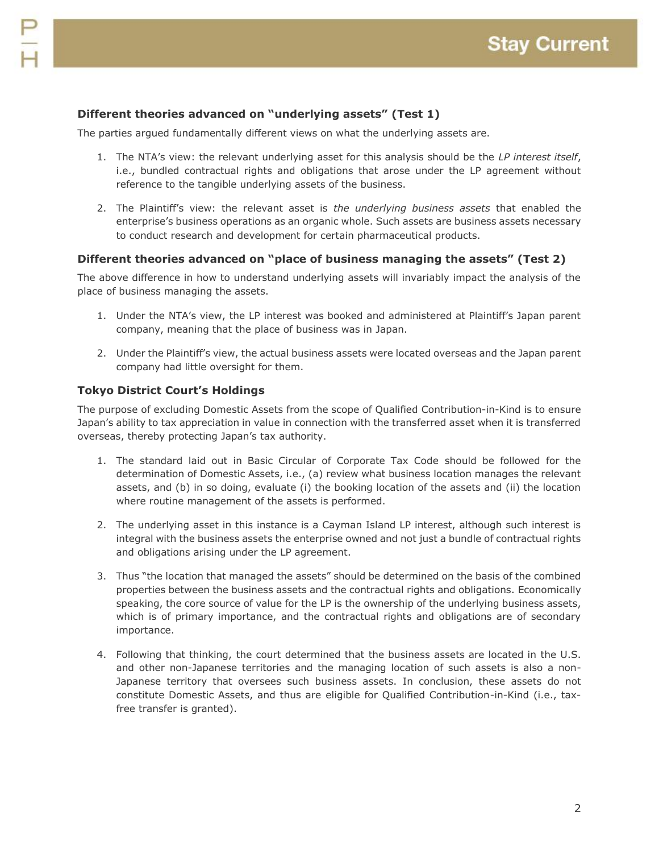### **Different theories advanced on "underlying assets" (Test 1)**

The parties argued fundamentally different views on what the underlying assets are.

- 1. The NTA's view: the relevant underlying asset for this analysis should be the *LP interest itself*, i.e., bundled contractual rights and obligations that arose under the LP agreement without reference to the tangible underlying assets of the business.
- 2. The Plaintiff's view: the relevant asset is *the underlying business assets* that enabled the enterprise's business operations as an organic whole. Such assets are business assets necessary to conduct research and development for certain pharmaceutical products.

#### **Different theories advanced on "place of business managing the assets" (Test 2)**

The above difference in how to understand underlying assets will invariably impact the analysis of the place of business managing the assets.

- 1. Under the NTA's view, the LP interest was booked and administered at Plaintiff's Japan parent company, meaning that the place of business was in Japan.
- 2. Under the Plaintiff's view, the actual business assets were located overseas and the Japan parent company had little oversight for them.

#### **Tokyo District Court's Holdings**

The purpose of excluding Domestic Assets from the scope of Qualified Contribution-in-Kind is to ensure Japan's ability to tax appreciation in value in connection with the transferred asset when it is transferred overseas, thereby protecting Japan's tax authority.

- 1. The standard laid out in Basic Circular of Corporate Tax Code should be followed for the determination of Domestic Assets, i.e., (a) review what business location manages the relevant assets, and (b) in so doing, evaluate (i) the booking location of the assets and (ii) the location where routine management of the assets is performed.
- 2. The underlying asset in this instance is a Cayman Island LP interest, although such interest is integral with the business assets the enterprise owned and not just a bundle of contractual rights and obligations arising under the LP agreement.
- 3. Thus "the location that managed the assets" should be determined on the basis of the combined properties between the business assets and the contractual rights and obligations. Economically speaking, the core source of value for the LP is the ownership of the underlying business assets, which is of primary importance, and the contractual rights and obligations are of secondary importance.
- 4. Following that thinking, the court determined that the business assets are located in the U.S. and other non-Japanese territories and the managing location of such assets is also a non-Japanese territory that oversees such business assets. In conclusion, these assets do not constitute Domestic Assets, and thus are eligible for Qualified Contribution-in-Kind (i.e., taxfree transfer is granted).